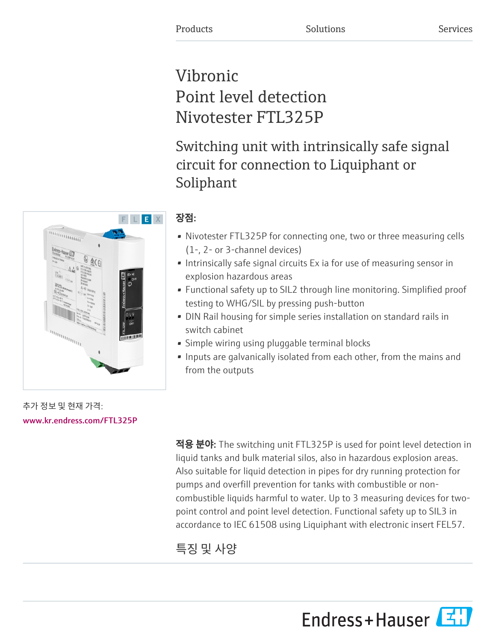# Vibronic Point level detection Nivotester FTL325P

Switching unit with intrinsically safe signal circuit for connection to Liquiphant or Soliphant

## 장점:

- Nivotester FTL325P for connecting one, two or three measuring cells (1-, 2- or 3-channel devices)
- Intrinsically safe signal circuits Ex ia for use of measuring sensor in explosion hazardous areas
- Functional safety up to SIL2 through line monitoring. Simplified proof testing to WHG/SIL by pressing push-button
- DIN Rail housing for simple series installation on standard rails in switch cabinet
- Simple wiring using pluggable terminal blocks
- Inputs are galvanically isolated from each other, from the mains and from the outputs

적용 분야: The switching unit FTL325P is used for point level detection in liquid tanks and bulk material silos, also in hazardous explosion areas. Also suitable for liquid detection in pipes for dry running protection for pumps and overfill prevention for tanks with combustible or noncombustible liquids harmful to water. Up to 3 measuring devices for twopoint control and point level detection. Functional safety up to SIL3 in accordance to IEC 61508 using Liquiphant with electronic insert FEL57.

# 특징 및 사양





추가 정보 및 현재 가격: [www.kr.endress.com/FTL325P](https://www.kr.endress.com/FTL325P)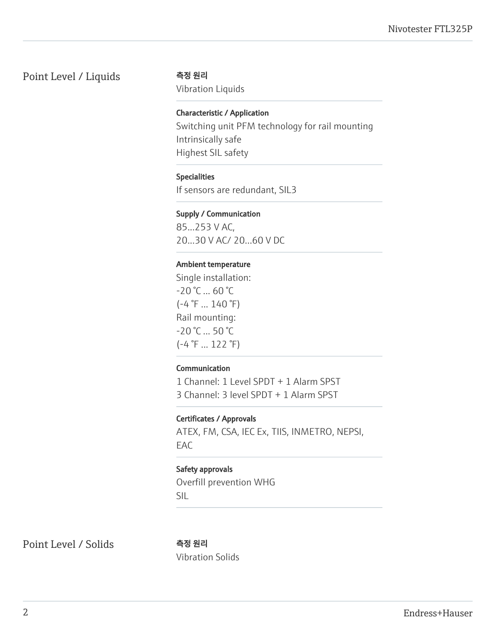### Point Level / Liquids 측정 원리

Vibration Liquids

#### Characteristic / Application

Switching unit PFM technology for rail mounting Intrinsically safe Highest SIL safety

#### Specialities

If sensors are redundant, SIL3

#### Supply / Communication

85...253 V AC, 20...30 V AC/ 20...60 V DC

#### Ambient temperature

Single installation:  $-20 °C ... 60 °C$  $(-4 \degree F ... 140 \degree F)$ Rail mounting: -20 °C ... 50 °C (-4 °F ... 122 °F)

#### Communication

1 Channel: 1 Level SPDT + 1 Alarm SPST 3 Channel: 3 level SPDT + 1 Alarm SPST

#### Certificates / Approvals

ATEX, FM, CSA, IEC Ex, TIIS, INMETRO, NEPSI, EAC

#### Safety approvals

Overfill prevention WHG SIL

Point Level / Solids 측정 원리

Vibration Solids